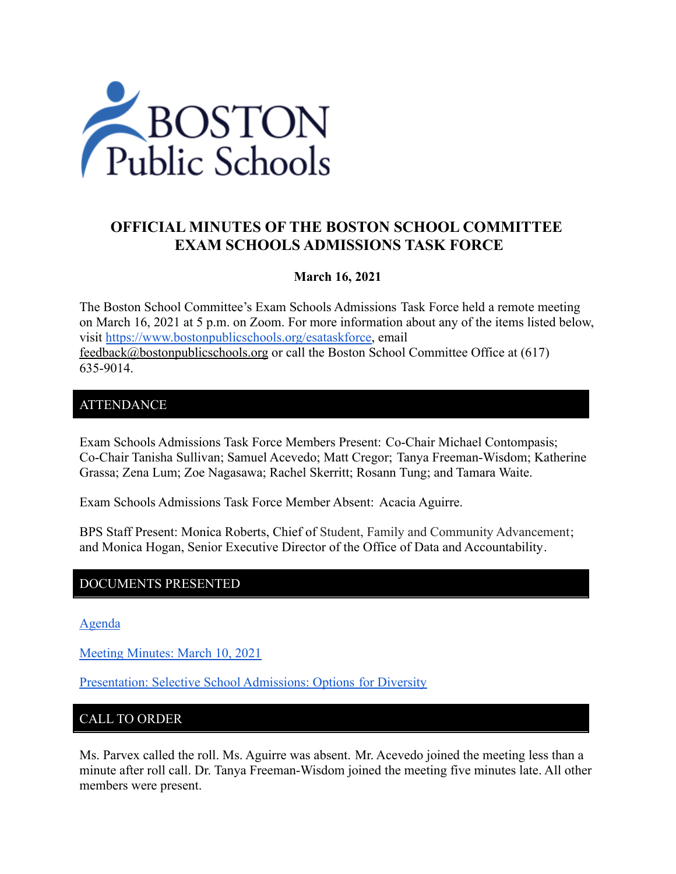

# **OFFICIAL MINUTES OF THE BOSTON SCHOOL COMMITTEE EXAM SCHOOLS ADMISSIONS TASK FORCE**

### **March 16, 2021**

The Boston School Committee's Exam Schools Admissions Task Force held a remote meeting on March 16, 2021 at 5 p.m. on Zoom. For more information about any of the items listed below, visit [https://www.bostonpublicschools.org/esataskforce,](https://www.bostonpublicschools.org/esataskforce) email [feedback@bostonpublicschools.org](mailto:feedback@bostonpublicschools.org) or call the Boston School Committee Office at (617) 635-9014.

### **ATTENDANCE**

Exam Schools Admissions Task Force Members Present: Co-Chair Michael Contompasis; Co-Chair Tanisha Sullivan; Samuel Acevedo; Matt Cregor; Tanya Freeman-Wisdom; Katherine Grassa; Zena Lum; Zoe Nagasawa; Rachel Skerritt; Rosann Tung; and Tamara Waite.

Exam Schools Admissions Task Force Member Absent: Acacia Aguirre.

BPS Staff Present: Monica Roberts, Chief of Student, Family and Community Advancement; and Monica Hogan, Senior Executive Director of the Office of Data and Accountability.

### DOCUMENTS PRESENTED

[Agenda](https://www.boston.gov/public-notices/14769361)

[Meeting Minutes: March 10, 2021](https://www.bostonpublicschools.org/cms/lib/MA01906464/Centricity/Domain/2931/Minutes%203%2010%2021%20Exam%20School%20Admission%20TF%20Meeting%20.pdf)

[Presentation: Selective School Admissions: Options](https://www.bostonpublicschools.org/cms/lib/MA01906464/Centricity/Domain/2931/Selective%20School%20Admissions%20Presentation%20Corcoran%2003%2016%2021.pdf) for Diversity

# CALL TO ORDER

Ms. Parvex called the roll. Ms. Aguirre was absent. Mr. Acevedo joined the meeting less than a minute after roll call. Dr. Tanya Freeman-Wisdom joined the meeting five minutes late. All other members were present.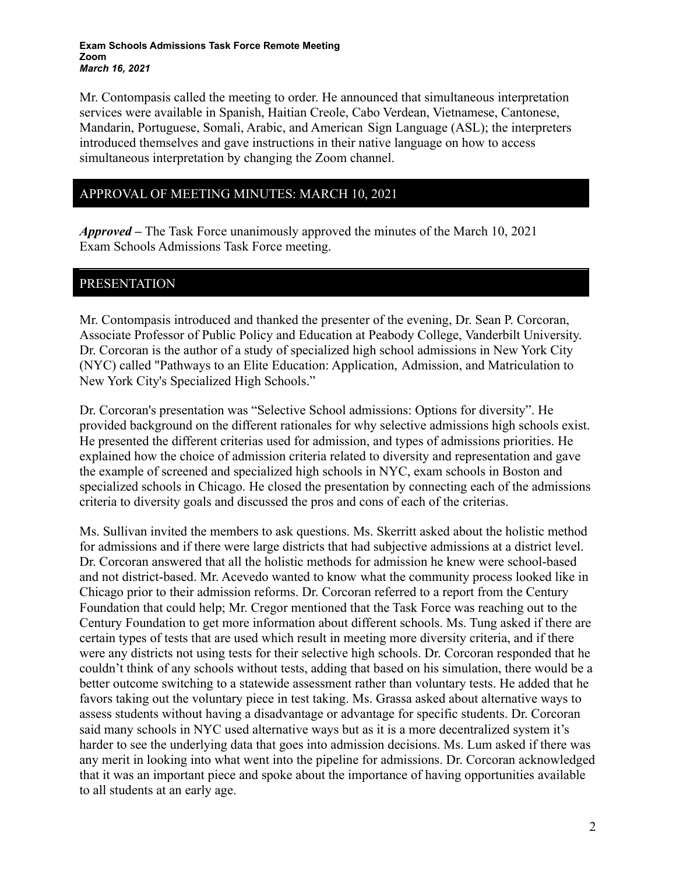#### **Exam Schools Admissions Task Force Remote Meeting Zoom** *March 16, 2021*

Mr. Contompasis called the meeting to order. He announced that simultaneous interpretation services were available in Spanish, Haitian Creole, Cabo Verdean, Vietnamese, Cantonese, Mandarin, Portuguese, Somali, Arabic, and American Sign Language (ASL); the interpreters introduced themselves and gave instructions in their native language on how to access simultaneous interpretation by changing the Zoom channel.

## APPROVAL OF MEETING MINUTES: MARCH 10, 2021

*Approved –* The Task Force unanimously approved the minutes of the March 10, 2021 Exam Schools Admissions Task Force meeting.

### PRESENTATION

Mr. Contompasis introduced and thanked the presenter of the evening, Dr. Sean P. Corcoran, Associate Professor of Public Policy and Education at Peabody College, Vanderbilt University. Dr. Corcoran is the author of a study of specialized high school admissions in New York City (NYC) called "Pathways to an Elite Education: Application, Admission, and Matriculation to New York City's Specialized High Schools."

Dr. Corcoran's presentation was "Selective School admissions: Options for diversity". He provided background on the different rationales for why selective admissions high schools exist. He presented the different criterias used for admission, and types of admissions priorities. He explained how the choice of admission criteria related to diversity and representation and gave the example of screened and specialized high schools in NYC, exam schools in Boston and specialized schools in Chicago. He closed the presentation by connecting each of the admissions criteria to diversity goals and discussed the pros and cons of each of the criterias.

Ms. Sullivan invited the members to ask questions. Ms. Skerritt asked about the holistic method for admissions and if there were large districts that had subjective admissions at a district level. Dr. Corcoran answered that all the holistic methods for admission he knew were school-based and not district-based. Mr. Acevedo wanted to know what the community process looked like in Chicago prior to their admission reforms. Dr. Corcoran referred to a report from the Century Foundation that could help; Mr. Cregor mentioned that the Task Force was reaching out to the Century Foundation to get more information about different schools. Ms. Tung asked if there are certain types of tests that are used which result in meeting more diversity criteria, and if there were any districts not using tests for their selective high schools. Dr. Corcoran responded that he couldn't think of any schools without tests, adding that based on his simulation, there would be a better outcome switching to a statewide assessment rather than voluntary tests. He added that he favors taking out the voluntary piece in test taking. Ms. Grassa asked about alternative ways to assess students without having a disadvantage or advantage for specific students. Dr. Corcoran said many schools in NYC used alternative ways but as it is a more decentralized system it's harder to see the underlying data that goes into admission decisions. Ms. Lum asked if there was any merit in looking into what went into the pipeline for admissions. Dr. Corcoran acknowledged that it was an important piece and spoke about the importance of having opportunities available to all students at an early age.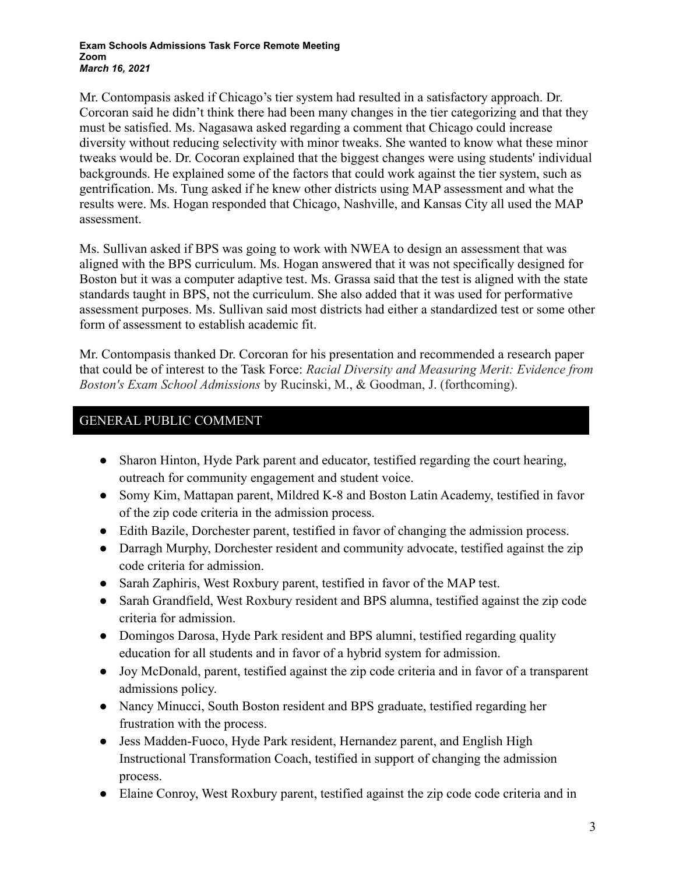#### **Exam Schools Admissions Task Force Remote Meeting Zoom** *March 16, 2021*

Mr. Contompasis asked if Chicago's tier system had resulted in a satisfactory approach. Dr. Corcoran said he didn't think there had been many changes in the tier categorizing and that they must be satisfied. Ms. Nagasawa asked regarding a comment that Chicago could increase diversity without reducing selectivity with minor tweaks. She wanted to know what these minor tweaks would be. Dr. Cocoran explained that the biggest changes were using students' individual backgrounds. He explained some of the factors that could work against the tier system, such as gentrification. Ms. Tung asked if he knew other districts using MAP assessment and what the results were. Ms. Hogan responded that Chicago, Nashville, and Kansas City all used the MAP assessment.

Ms. Sullivan asked if BPS was going to work with NWEA to design an assessment that was aligned with the BPS curriculum. Ms. Hogan answered that it was not specifically designed for Boston but it was a computer adaptive test. Ms. Grassa said that the test is aligned with the state standards taught in BPS, not the curriculum. She also added that it was used for performative assessment purposes. Ms. Sullivan said most districts had either a standardized test or some other form of assessment to establish academic fit.

Mr. Contompasis thanked Dr. Corcoran for his presentation and recommended a research paper that could be of interest to the Task Force: *Racial Diversity and Measuring Merit: Evidence from Boston's Exam School Admissions* by Rucinski, M., & Goodman, J. (forthcoming).

# GENERAL PUBLIC COMMENT

- Sharon Hinton, Hyde Park parent and educator, testified regarding the court hearing, outreach for community engagement and student voice.
- Somy Kim, Mattapan parent, Mildred K-8 and Boston Latin Academy, testified in favor of the zip code criteria in the admission process.
- Edith Bazile, Dorchester parent, testified in favor of changing the admission process.
- Darragh Murphy, Dorchester resident and community advocate, testified against the zip code criteria for admission.
- Sarah Zaphiris, West Roxbury parent, testified in favor of the MAP test.
- Sarah Grandfield, West Roxbury resident and BPS alumna, testified against the zip code criteria for admission.
- Domingos Darosa, Hyde Park resident and BPS alumni, testified regarding quality education for all students and in favor of a hybrid system for admission.
- Joy McDonald, parent, testified against the zip code criteria and in favor of a transparent admissions policy.
- Nancy Minucci, South Boston resident and BPS graduate, testified regarding her frustration with the process.
- Jess Madden-Fuoco, Hyde Park resident, Hernandez parent, and English High Instructional Transformation Coach, testified in support of changing the admission process.
- Elaine Conroy, West Roxbury parent, testified against the zip code code criteria and in